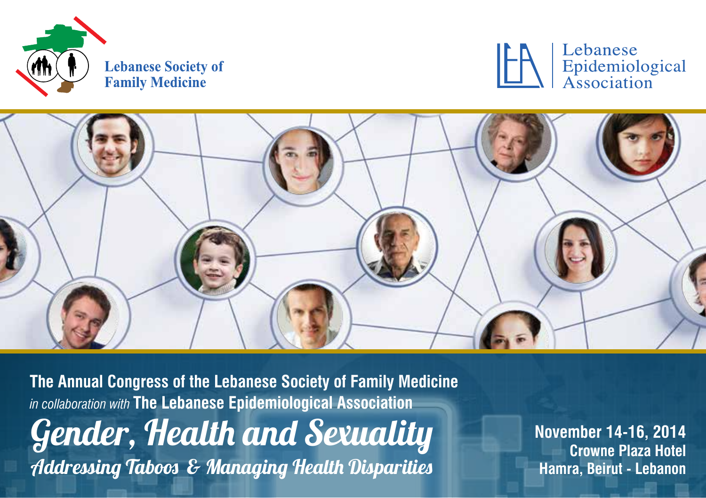





**The Annual Congress of the Lebanese Society of Family Medicine** *in collaboration with* **The Lebanese Epidemiological Association**  Gender, Health and Sexuality Addressing Taboos & Managing Health Disparities

**November 14-16, 2014 Crowne Plaza Hotel Hamra, Beirut - Lebanon**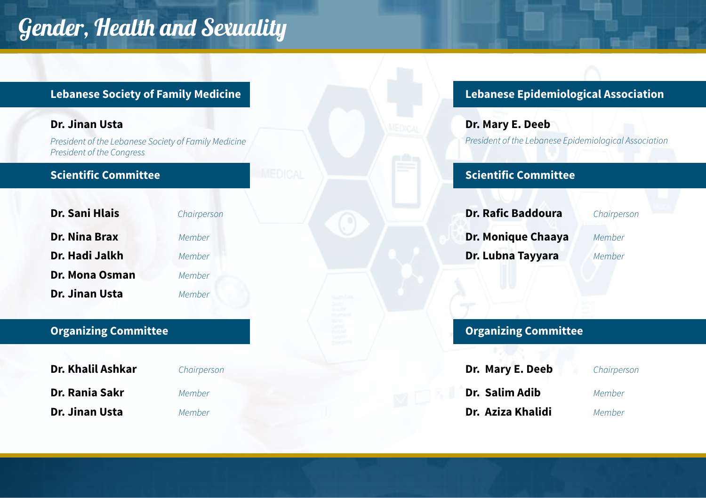## Gender, Health and Sexuality

#### **Dr. Jinan Usta**

*President of the Lebanese Society of Family Medicine President of the Congress*

#### **Scientific Committee**

| Dr. Sani Hlais | Chairperson |  |
|----------------|-------------|--|
| Dr. Nina Brax  | Member      |  |
| Dr. Hadi Jalkh | Member      |  |
| Dr. Mona Osman | Member      |  |
| Dr. Jinan Usta | Member      |  |

**Dr. Nina Brax** *Member* **Dr. Hadi Jalkh** *Member* **Dr. Mona Osman** *Member* **Dr. Jinan Usta** *Member*

### **Organizing Committee**

| Dr. Khalil Ashkar | Chairperson |
|-------------------|-------------|
| Dr. Rania Sakr    | Member      |
| Dr. Jinan Usta    | Member      |

### **Lebanese Society of Family Medicine Lebanese Epidemiological Association**

**Dr. Mary E. Deeb** *President of the Lebanese Epidemiological Association*

### **Scientific Committee**

| Dr. Rafic Baddoura | Chairpe |
|--------------------|---------|
| Dr. Monique Chaaya | Member  |
| Dr. Lubna Tayyara  | Member  |

**Dr. Rafic Baddoura** *Chairperson*

### **Organizing Committee**

| Dr. Mary E. Deeb  | Chairperson |
|-------------------|-------------|
| Dr. Salim Adib    | Member      |
| Dr. Aziza Khalidi | Member      |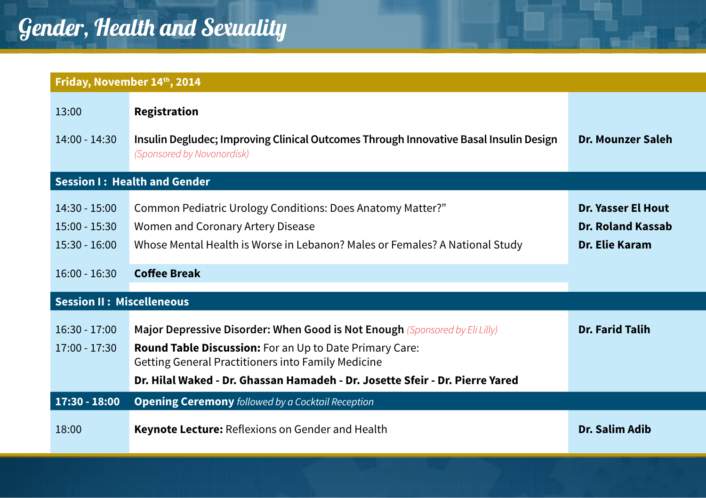|                                                                          | Friday, November 14th, 2014                                                                                                                                                                                                                                                         |                                                                  |
|--------------------------------------------------------------------------|-------------------------------------------------------------------------------------------------------------------------------------------------------------------------------------------------------------------------------------------------------------------------------------|------------------------------------------------------------------|
| 13:00<br>$14:00 - 14:30$                                                 | Registration<br>Insulin Degludec; Improving Clinical Outcomes Through Innovative Basal Insulin Design<br>(Sponsored by Novonordisk)                                                                                                                                                 | Dr. Mounzer Saleh                                                |
|                                                                          | <b>Session I: Health and Gender</b>                                                                                                                                                                                                                                                 |                                                                  |
| $14:30 - 15:00$<br>$15:00 - 15:30$<br>$15:30 - 16:00$<br>$16:00 - 16:30$ | Common Pediatric Urology Conditions: Does Anatomy Matter?"<br>Women and Coronary Artery Disease<br>Whose Mental Health is Worse in Lebanon? Males or Females? A National Study<br><b>Coffee Break</b>                                                                               | Dr. Yasser El Hout<br><b>Dr. Roland Kassab</b><br>Dr. Elie Karam |
| <b>Session II: Miscelleneous</b>                                         |                                                                                                                                                                                                                                                                                     |                                                                  |
| $16:30 - 17:00$<br>$17:00 - 17:30$                                       | Major Depressive Disorder: When Good is Not Enough (Sponsored by Eli Lilly)<br><b>Round Table Discussion:</b> For an Up to Date Primary Care:<br>Getting General Practitioners into Family Medicine<br>Dr. Hilal Waked - Dr. Ghassan Hamadeh - Dr. Josette Sfeir - Dr. Pierre Yared | <b>Dr. Farid Talih</b>                                           |
| 17:30 - 18:00                                                            | <b>Opening Ceremony</b> followed by a Cocktail Reception                                                                                                                                                                                                                            |                                                                  |
| 18:00                                                                    | Keynote Lecture: Reflexions on Gender and Health                                                                                                                                                                                                                                    | <b>Dr. Salim Adib</b>                                            |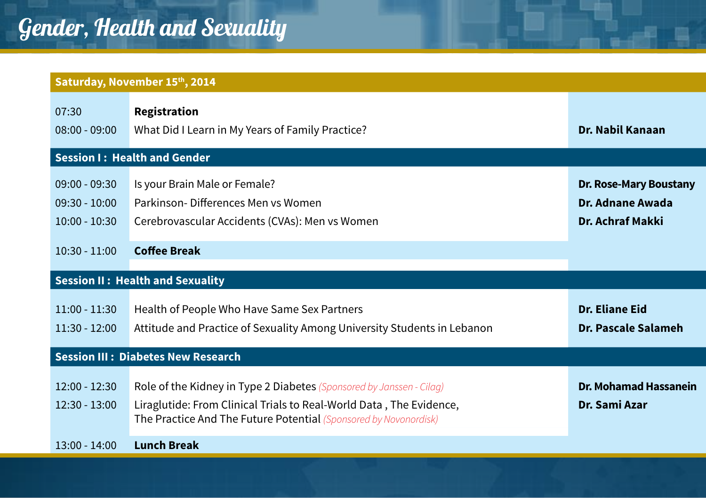|                                                       | Saturday, November 15th, 2014                                                                                                                                                                                   |                                                                |
|-------------------------------------------------------|-----------------------------------------------------------------------------------------------------------------------------------------------------------------------------------------------------------------|----------------------------------------------------------------|
| 07:30<br>$08:00 - 09:00$                              | Registration<br>What Did I Learn in My Years of Family Practice?                                                                                                                                                | Dr. Nabil Kanaan                                               |
|                                                       | <b>Session I: Health and Gender</b>                                                                                                                                                                             |                                                                |
| $09:00 - 09:30$<br>$09:30 - 10:00$<br>$10:00 - 10:30$ | Is your Brain Male or Female?<br>Parkinson-Differences Men vs Women<br>Cerebrovascular Accidents (CVAs): Men vs Women                                                                                           | Dr. Rose-Mary Boustany<br>Dr. Adnane Awada<br>Dr. Achraf Makki |
| $10:30 - 11:00$                                       | <b>Coffee Break</b>                                                                                                                                                                                             |                                                                |
|                                                       | <b>Session II: Health and Sexuality</b>                                                                                                                                                                         |                                                                |
| $11:00 - 11:30$<br>$11:30 - 12:00$                    | Health of People Who Have Same Sex Partners<br>Attitude and Practice of Sexuality Among University Students in Lebanon                                                                                          | Dr. Eliane Eid<br>Dr. Pascale Salameh                          |
|                                                       | <b>Session III: Diabetes New Research</b>                                                                                                                                                                       |                                                                |
| $12:00 - 12:30$<br>$12:30 - 13:00$                    | Role of the Kidney in Type 2 Diabetes (Sponsored by Janssen - Cilag)<br>Liraglutide: From Clinical Trials to Real-World Data, The Evidence,<br>The Practice And The Future Potential (Sponsored by Novonordisk) | Dr. Mohamad Hassanein<br>Dr. Sami Azar                         |
| $13:00 - 14:00$                                       | <b>Lunch Break</b>                                                                                                                                                                                              |                                                                |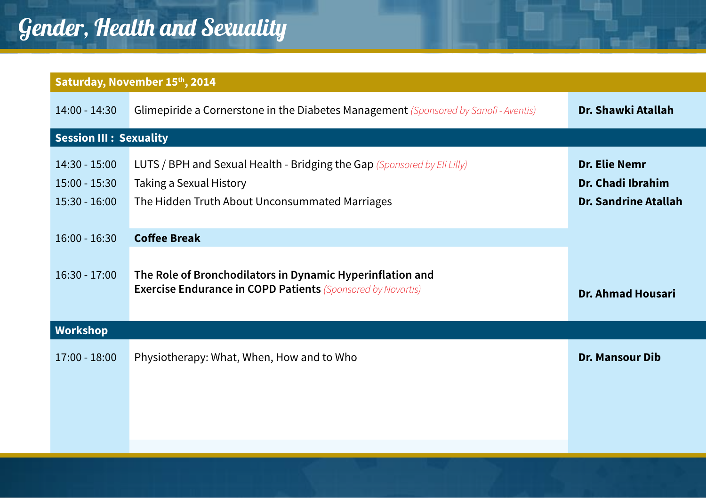# Gender, Health and Sexuality

|                                                       | Saturday, November 15th, 2014                                                                                                                         |                                                                          |
|-------------------------------------------------------|-------------------------------------------------------------------------------------------------------------------------------------------------------|--------------------------------------------------------------------------|
| $14:00 - 14:30$                                       | Glimepiride a Cornerstone in the Diabetes Management (Sponsored by Sanofi - Aventis)                                                                  | Dr. Shawki Atallah                                                       |
| <b>Session III: Sexuality</b>                         |                                                                                                                                                       |                                                                          |
| $14:30 - 15:00$<br>$15:00 - 15:30$<br>$15:30 - 16:00$ | LUTS / BPH and Sexual Health - Bridging the Gap (Sponsored by Eli Lilly)<br>Taking a Sexual History<br>The Hidden Truth About Unconsummated Marriages | <b>Dr. Elie Nemr</b><br>Dr. Chadi Ibrahim<br><b>Dr. Sandrine Atallah</b> |
| $16:00 - 16:30$                                       | <b>Coffee Break</b>                                                                                                                                   |                                                                          |
| $16:30 - 17:00$                                       | The Role of Bronchodilators in Dynamic Hyperinflation and<br><b>Exercise Endurance in COPD Patients</b> (Sponsored by Novartis)                       | Dr. Ahmad Housari                                                        |
| <b>Workshop</b>                                       |                                                                                                                                                       |                                                                          |
| $17:00 - 18:00$                                       | Physiotherapy: What, When, How and to Who                                                                                                             | <b>Dr. Mansour Dib</b>                                                   |
|                                                       |                                                                                                                                                       |                                                                          |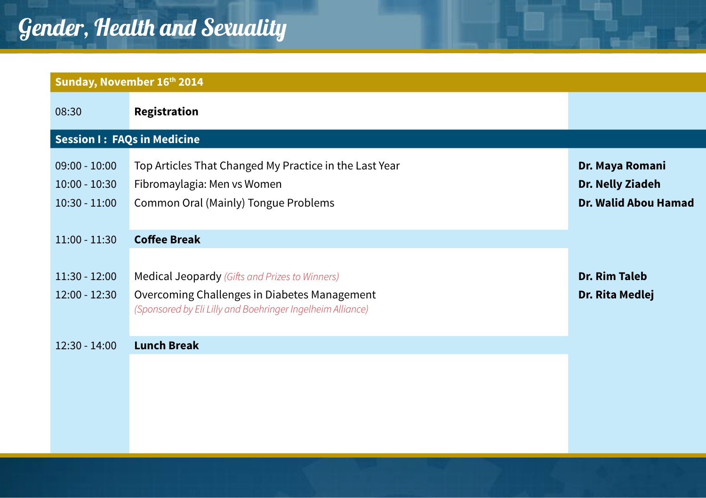| Sunday, November 16th 2014                            |                                                                                                                                                              |                                                             |
|-------------------------------------------------------|--------------------------------------------------------------------------------------------------------------------------------------------------------------|-------------------------------------------------------------|
| 08:30                                                 | Registration                                                                                                                                                 |                                                             |
| <b>Session I: FAQs in Medicine</b>                    |                                                                                                                                                              |                                                             |
| $09:00 - 10:00$<br>$10:00 - 10:30$<br>$10:30 - 11:00$ | Top Articles That Changed My Practice in the Last Year<br>Fibromaylagia: Men vs Women<br>Common Oral (Mainly) Tongue Problems                                | Dr. Maya Romani<br>Dr. Nelly Ziadeh<br>Dr. Walid Abou Hamad |
| $11:00 - 11:30$                                       | <b>Coffee Break</b>                                                                                                                                          |                                                             |
| $11:30 - 12:00$<br>12:00 - 12:30                      | Medical Jeopardy (Gifts and Prizes to Winners)<br>Overcoming Challenges in Diabetes Management<br>(Sponsored by Eli Lilly and Boehringer Ingelheim Alliance) | <b>Dr. Rim Taleb</b><br>Dr. Rita Medlej                     |
| $12:30 - 14:00$                                       | <b>Lunch Break</b>                                                                                                                                           |                                                             |
|                                                       |                                                                                                                                                              |                                                             |